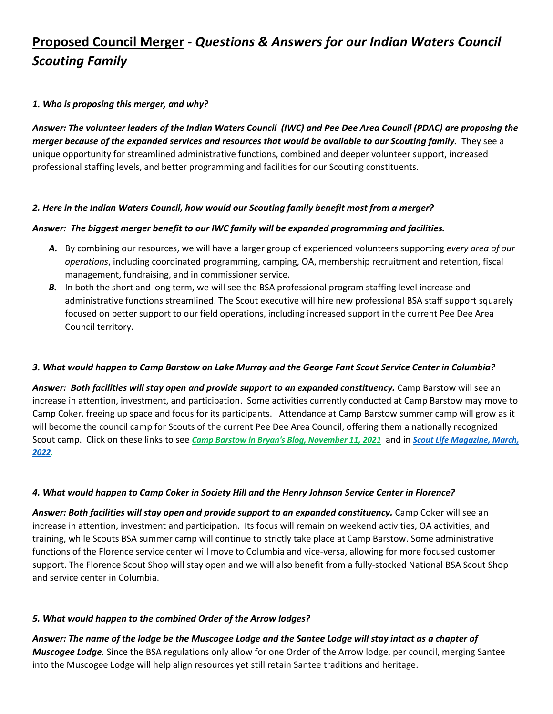# **Proposed Council Merger -** *Questions & Answers for our Indian Waters Council Scouting Family*

## *1. Who is proposing this merger, and why?*

*Answer: The volunteer leaders of the Indian Waters Council (IWC) and Pee Dee Area Council (PDAC) are proposing the merger because of the expanded services and resources that would be available to our Scouting family.* They see a unique opportunity for streamlined administrative functions, combined and deeper volunteer support, increased professional staffing levels, and better programming and facilities for our Scouting constituents.

## *2. Here in the Indian Waters Council, how would our Scouting family benefit most from a merger?*

## *Answer: The biggest merger benefit to our IWC family will be expanded programming and facilities.*

- *A.* By combining our resources, we will have a larger group of experienced volunteers supporting *every area of our operations*, including coordinated programming, camping, OA, membership recruitment and retention, fiscal management, fundraising, and in commissioner service.
- **B.** In both the short and long term, we will see the BSA professional program staffing level increase and administrative functions streamlined. The Scout executive will hire new professional BSA staff support squarely focused on better support to our field operations, including increased support in the current Pee Dee Area Council territory.

#### *3. What would happen to Camp Barstow on Lake Murray and the George Fant Scout Service Center in Columbia?*

*Answer: Both facilities will stay open and provide support to an expanded constituency.* Camp Barstow will see an increase in attention, investment, and participation. Some activities currently conducted at Camp Barstow may move to Camp Coker, freeing up space and focus for its participants. Attendance at Camp Barstow summer camp will grow as it will become the council camp for Scouts of the current Pee Dee Area Council, offering them a nationally recognized Scout camp. Click on these links to see *[Camp Barstow in Bryan's Blog, November 11, 2021](https://blog.scoutingmagazine.org/2021/11/11/camp-barstows-bundle-system-keeps-scouts-learning-at-summer-camp/)* and in *[Scout Life Magazine, March,](https://scoutlife.org/features/175019/2022-scout-camps/)  [2022.](https://scoutlife.org/features/175019/2022-scout-camps/)*

#### *4. What would happen to Camp Coker in Society Hill and the Henry Johnson Service Center in Florence?*

*Answer: Both facilities will stay open and provide support to an expanded constituency.* Camp Coker will see an increase in attention, investment and participation. Its focus will remain on weekend activities, OA activities, and training, while Scouts BSA summer camp will continue to strictly take place at Camp Barstow. Some administrative functions of the Florence service center will move to Columbia and vice-versa, allowing for more focused customer support. The Florence Scout Shop will stay open and we will also benefit from a fully-stocked National BSA Scout Shop and service center in Columbia.

## *5. What would happen to the combined Order of the Arrow lodges?*

*Answer: The name of the lodge be the Muscogee Lodge and the Santee Lodge will stay intact as a chapter of Muscogee Lodge.* Since the BSA regulations only allow for one Order of the Arrow lodge, per council, merging Santee into the Muscogee Lodge will help align resources yet still retain Santee traditions and heritage.